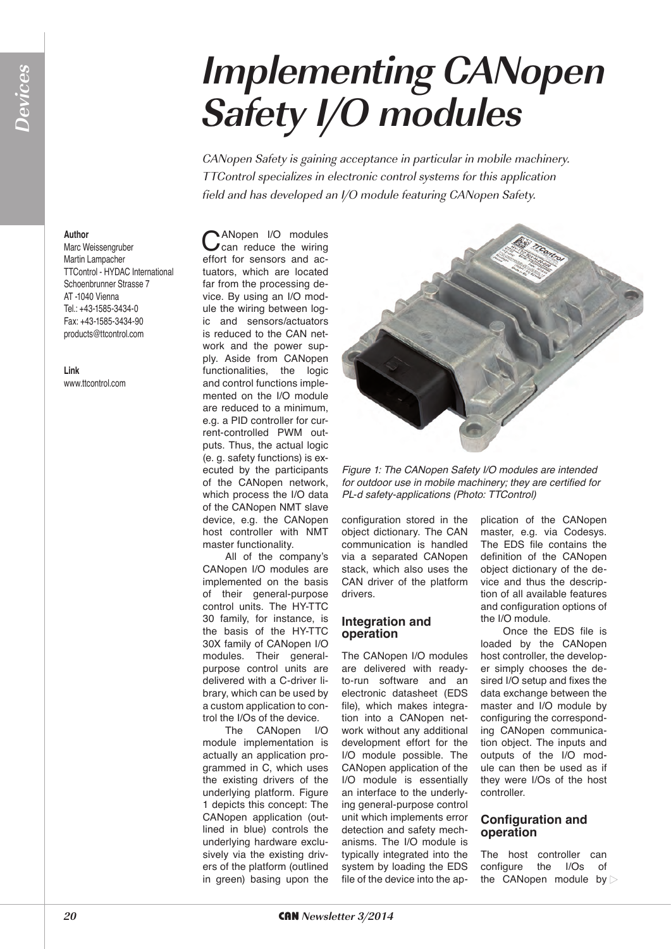CANopen Safety is gaining acceptance in particular in mobile machinery. TTControl specializes in electronic control systems for this application field and has developed an I/O module featuring CANopen Safety.

### **Author**

Marc Weissengruber Martin Lampacher TTControl - HYDAC International Schoenbrunner Strasse 7 AT -1040 Vienna Tel.: +43-1585-3434-0 Fax: +43-1585-3434-90 products@ttcontrol.com

**Link** www.ttcontrol.com CANopen I/O modules effort for sensors and actuators, which are located far from the processing device. By using an I/O module the wiring between logic and sensors/actuators is reduced to the CAN network and the power supply. Aside from CANopen functionalities, the logic and control functions implemented on the I/O module are reduced to a minimum, e.g. a PID controller for current-controlled PWM outputs. Thus, the actual logic (e. g. safety functions) is executed by the participants of the CANopen network, which process the I/O data of the CANopen NMT slave device, e.g. the CANopen host controller with NMT master functionality.

All of the company's CANopen I/O modules are implemented on the basis of their general-purpose control units. The HY-TTC 30 family, for instance, is the basis of the HY-TTC 30X family of CANopen I/O modules. Their generalpurpose control units are delivered with a C-driver library, which can be used by a custom application to control the I/Os of the device.

The CANopen I/O module implementation is actually an application programmed in C, which uses the existing drivers of the underlying platform. Figure 1 depicts this concept: The CANopen application (outlined in blue) controls the underlying hardware exclusively via the existing drivers of the platform (outlined in green) basing upon the



*Figure 1: The CANopen Safety I/O modules are intended for outdoor use in mobile machinery; they are certified for PL-d safety-applications (Photo: TTControl)*

configuration stored in the object dictionary. The CAN communication is handled via a separated CANopen stack, which also uses the CAN driver of the platform drivers.

# **Integration and operation**

The CANopen I/O modules are delivered with readyto-run software and an electronic datasheet (EDS file), which makes integration into a CANopen network without any additional development effort for the I/O module possible. The CANopen application of the I/O module is essentially an interface to the underlying general-purpose control unit which implements error detection and safety mechanisms. The I/O module is typically integrated into the system by loading the EDS file of the device into the application of the CANopen master, e.g. via Codesys. The EDS file contains the definition of the CANopen object dictionary of the device and thus the description of all available features and configuration options of the I/O module.

Once the EDS file is loaded by the CANopen host controller, the developer simply chooses the desired I/O setup and fixes the data exchange between the master and I/O module by configuring the corresponding CANopen communication object. The inputs and outputs of the I/O module can then be used as if they were I/Os of the host controller.

# **Configuration and operation**

The host controller can<br>configure the I/Os of the I/Os the CANopen module by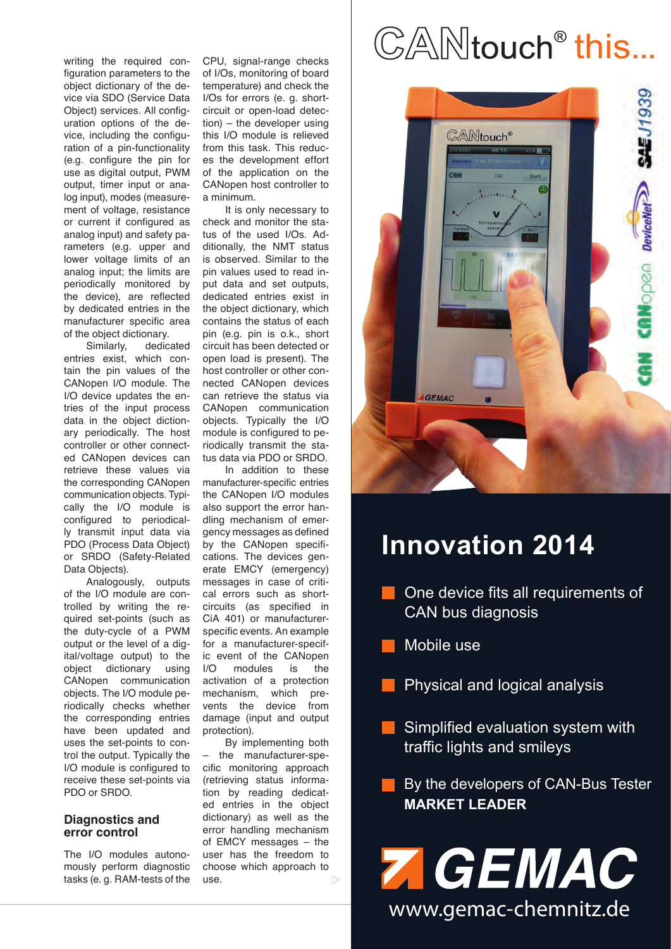writing the required configuration parameters to the object dictionary of the device via SDO (Service Data Object) services. All configuration options of the device, including the configuration of a pin-functionality (e.g. configure the pin for use as digital output, PWM output, timer input or analog input), modes (measurement of voltage, resistance or current if configured as analog input) and safety parameters (e.g. upper and lower voltage limits of an analog input; the limits are periodically monitored by the device), are reflected by dedicated entries in the manufacturer specific area of the object dictionary.

Similarly, dedicated entries exist, which contain the pin values of the CANopen I/O module. The I/O device updates the entries of the input process data in the object dictionary periodically. The host controller or other connected CANopen devices can retrieve these values via the corresponding CANopen communication objects. Typically the I/O module is configured to periodically transmit input data via PDO (Process Data Object) or SRDO (Safety-Related Data Objects).

Analogously, outputs of the I/O module are controlled by writing the required set-points (such as the duty-cycle of a PWM output or the level of a digital/voltage output) to the object dictionary using CANopen communication objects. The I/O module periodically checks whether the corresponding entries have been updated and uses the set-points to control the output. Typically the I/O module is configured to receive these set-points via PDO or SRDO.

## **Diagnostics and error control**

The I/O modules autonomously perform diagnostic tasks (e. g. RAM-tests of the

CPU, signal-range checks of I/Os, monitoring of board temperature) and check the I/Os for errors (e. g. shortcircuit or open-load detection) – the developer using this I/O module is relieved from this task. This reduces the development effort of the application on the CANopen host controller to a minimum.

It is only necessary to check and monitor the status of the used I/Os. Additionally, the NMT status is observed. Similar to the pin values used to read input data and set outputs, dedicated entries exist in the object dictionary, which contains the status of each pin (e.g. pin is o.k., short circuit has been detected or open load is present). The host controller or other connected CANopen devices can retrieve the status via CANopen communication objects. Typically the I/O module is configured to periodically transmit the status data via PDO or SRDO.

In addition to these manufacturer-specific entries the CANopen I/O modules also support the error handling mechanism of emergency messages as defined by the CANopen specifications. The devices generate EMCY (emergency) messages in case of critical errors such as shortcircuits (as specified in CiA 401) or manufacturerspecific events. An example for a manufacturer-specific event of the CANopen I/O modules is the activation of a protection mechanism, which prevents the device from damage (input and output protection).

By implementing both the manufacturer-specific monitoring approach (retrieving status information by reading dedicated entries in the object dictionary) as well as the error handling mechanism of EMCY messages – the user has the freedom to choose which approach to use.  $\triangleright$ 

# CANtouch<sup>®</sup> this...



# **Innovation 2014**

- One device fits all requirements of CAN bus diagnosis
- Mobile use
- Physical and logical analysis
- Simplified evaluation system with traffic lights and smileys
- By the developers of CAN-Bus Tester **MARKET LEADER**

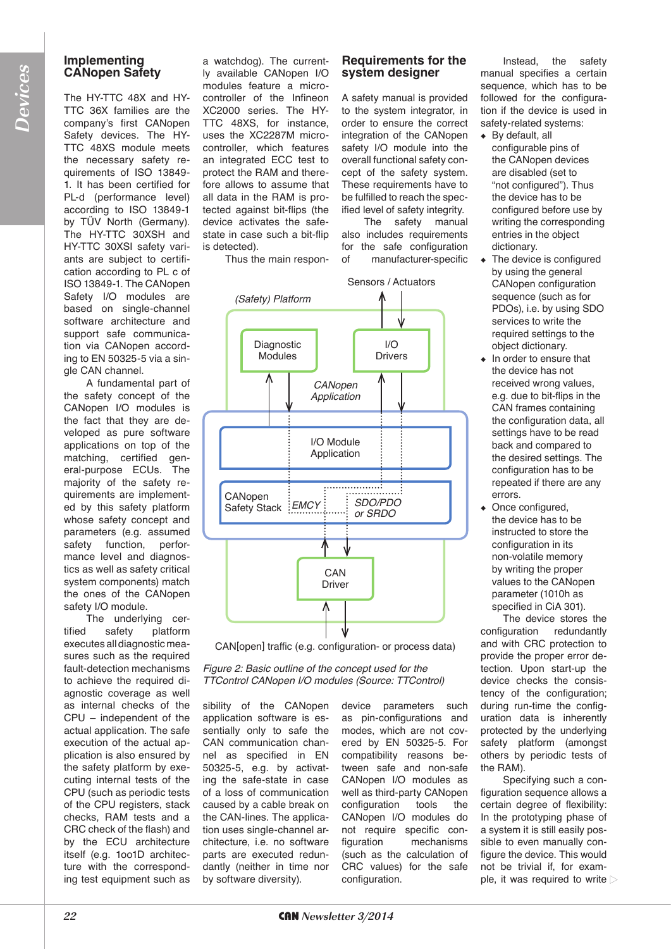# **Implementing CANopen Safety**

The HY-TTC 48X and HY-TTC 36X families are the company's first CANopen Safety devices. The HY-TTC 48XS module meets the necessary safety requirements of ISO 13849- 1. It has been certified for PL-d (performance level) according to ISO 13849-1 by TÜV North (Germany). The HY-TTC 30XSH and HY-TTC 30XSI safety variants are subject to certification according to PL c of ISO 13849-1. The CANopen Safety I/O modules are based on single-channel software architecture and support safe communication via CANopen according to EN 50325-5 via a single CAN channel.

A fundamental part of the safety concept of the CANopen I/O modules is the fact that they are developed as pure software applications on top of the matching, certified general-purpose ECUs. The majority of the safety requirements are implemented by this safety platform whose safety concept and parameters (e.g. assumed safety function, performance level and diagnostics as well as safety critical system components) match the ones of the CANopen safety I/O module.

The underlying certified safety platform executes all diagnostic measures such as the required fault-detection mechanisms to achieve the required diagnostic coverage as well as internal checks of the CPU – independent of the actual application. The safe execution of the actual application is also ensured by the safety platform by executing internal tests of the CPU (such as periodic tests of the CPU registers, stack checks, RAM tests and a CRC check of the flash) and by the ECU architecture itself (e.g. 1oo1D architecture with the corresponding test equipment such as

a watchdog). The currently available CANopen I/O modules feature a microcontroller of the Infineon XC2000 series. The HY-TTC 48XS, for instance, uses the XC2287M microcontroller, which features an integrated ECC test to protect the RAM and therefore allows to assume that all data in the RAM is protected against bit-flips (the device activates the safestate in case such a bit-flip is detected).

Thus the main respon-



**Requirements for the system designer**

A safety manual is provided to the system integrator, in order to ensure the correct integration of the CANopen safety I/O module into the overall functional safety concept of the safety system. These requirements have to be fulfilled to reach the specified level of safety integrity.<br>The safety manual

also includes requirements for the safe configuration of manufacturer-specific

manual

CAN[open] traffic (e.g. configuration- or process data)

# *Figure 2: Basic outline of the concept used for the TTControl CANopen I/O modules (Source: TTControl)*

sibility of the CANopen application software is essentially only to safe the CAN communication channel as specified in EN 50325-5, e.g. by activating the safe-state in case of a loss of communication caused by a cable break on the CAN-lines. The application uses single-channel architecture, i.e. no software parts are executed redundantly (neither in time nor by software diversity).

device parameters such as pin-configurations and modes, which are not covered by EN 50325-5. For compatibility reasons between safe and non-safe CANopen I/O modules as well as third-party CANopen<br>configuration tools the configuration tools the CANopen I/O modules do not require specific configuration mechanisms (such as the calculation of CRC values) for the safe configuration.

Instead, the safety manual specifies a certain sequence, which has to be followed for the configuration if the device is used in safety-related systems:

- ◆ By default, all configurable pins of the CANopen devices are disabled (set to "not configured"). Thus the device has to be configured before use by writing the corresponding entries in the object dictionary.
- ◆ The device is configured by using the general CANopen configuration sequence (such as for PDOs), i.e. by using SDO services to write the required settings to the object dictionary.
- In order to ensure that the device has not received wrong values, e.g. due to bit-flips in the CAN frames containing the configuration data, all settings have to be read back and compared to the desired settings. The configuration has to be repeated if there are any errors.
- ◆ Once configured, the device has to be instructed to store the configuration in its non-volatile memory by writing the proper values to the CANopen parameter (1010h as specified in CiA 301).

The device stores the configuration redundantly and with CRC protection to provide the proper error detection. Upon start-up the device checks the consistency of the configuration; during run-time the configuration data is inherently protected by the underlying safety platform (amongst others by periodic tests of the RAM).

Specifying such a configuration sequence allows a certain degree of flexibility: In the prototyping phase of a system it is still easily possible to even manually configure the device. This would not be trivial if, for example, it was required to write  $\triangleright$